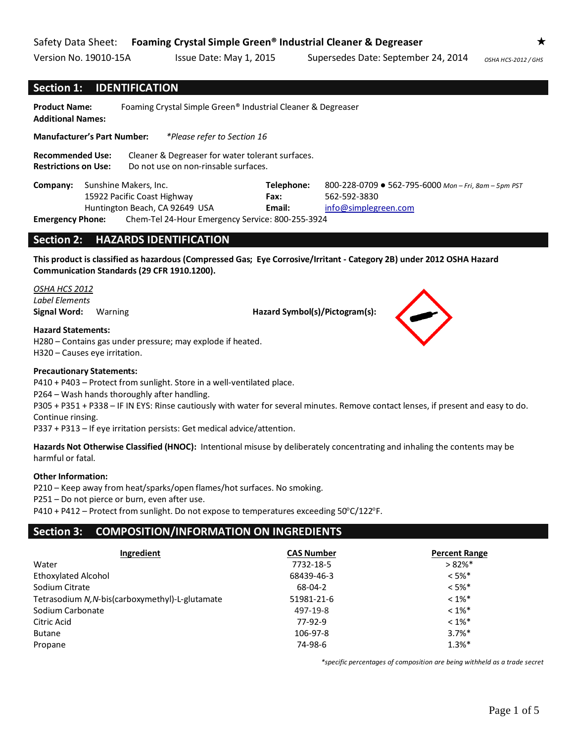## **Section 1: IDENTIFICATION**

**Product Name:** Foaming Crystal Simple Green® Industrial Cleaner & Degreaser **Additional Names:** 

**Manufacturer's Part Number:** *\*Please refer to Section 16*

**Recommended Use:** Cleaner & Degreaser for water tolerant surfaces. **Restrictions on Use:** Do not use on non-rinsable surfaces.

| Company:                |                                | Sunshine Makers, Inc.                            | Telephone: | 800-228-0709 $\bullet$ 562-795-6000 Mon - Fri, 8am - 5pm PST |
|-------------------------|--------------------------------|--------------------------------------------------|------------|--------------------------------------------------------------|
|                         |                                | 15922 Pacific Coast Highway                      | Fax:       | 562-592-3830                                                 |
|                         | Huntington Beach, CA 92649 USA |                                                  | Email:     | info@simplegreen.com                                         |
| <b>Emergency Phone:</b> |                                | Chem-Tel 24-Hour Emergency Service: 800-255-3924 |            |                                                              |

## **Section 2: HAZARDS IDENTIFICATION**

**This product is classified as hazardous (Compressed Gas; Eye Corrosive/Irritant - Category 2B) under 2012 OSHA Hazard Communication Standards (29 CFR 1910.1200).**

*OSHA HCS 2012 Label Elements*

**Signal Word:** Warning **Hazard Symbol(s)/Pictogram(s):** 

**Hazard Statements:**

H280 – Contains gas under pressure; may explode if heated. H320 – Causes eye irritation.

#### **Precautionary Statements:**

P410 + P403 – Protect from sunlight. Store in a well-ventilated place.

P264 – Wash hands thoroughly after handling.

P305 + P351 + P338 – IF IN EYS: Rinse cautiously with water for several minutes. Remove contact lenses, if present and easy to do. Continue rinsing.

P337 + P313 – If eye irritation persists: Get medical advice/attention.

**Hazards Not Otherwise Classified (HNOC):** Intentional misuse by deliberately concentrating and inhaling the contents may be harmful or fatal.

#### **Other Information:**

P210 – Keep away from heat/sparks/open flames/hot surfaces. No smoking.

P251 – Do not pierce or burn, even after use.

 $P410 + P412$  – Protect from sunlight. Do not expose to temperatures exceeding  $50^{\circ}C/122^{\circ}F$ .

# **Section 3: COMPOSITION/INFORMATION ON INGREDIENTS**

| Ingredient                                      | <b>CAS Number</b> | <b>Percent Range</b> |
|-------------------------------------------------|-------------------|----------------------|
| Water                                           | 7732-18-5         | $>82\%$ *            |
| <b>Ethoxylated Alcohol</b>                      | 68439-46-3        | $< 5\%$ *            |
| Sodium Citrate                                  | 68-04-2           | $< 5\%$ *            |
| Tetrasodium N, N-bis(carboxymethyl)-L-glutamate | 51981-21-6        | $< 1\%$ *            |
| Sodium Carbonate                                | 497-19-8          | $< 1\%$ *            |
| Citric Acid                                     | 77-92-9           | $< 1\%$ *            |
| <b>Butane</b>                                   | 106-97-8          | $3.7%$ *             |
| Propane                                         | 74-98-6           | $1.3%$ *             |

*\*specific percentages of composition are being withheld as a trade secret*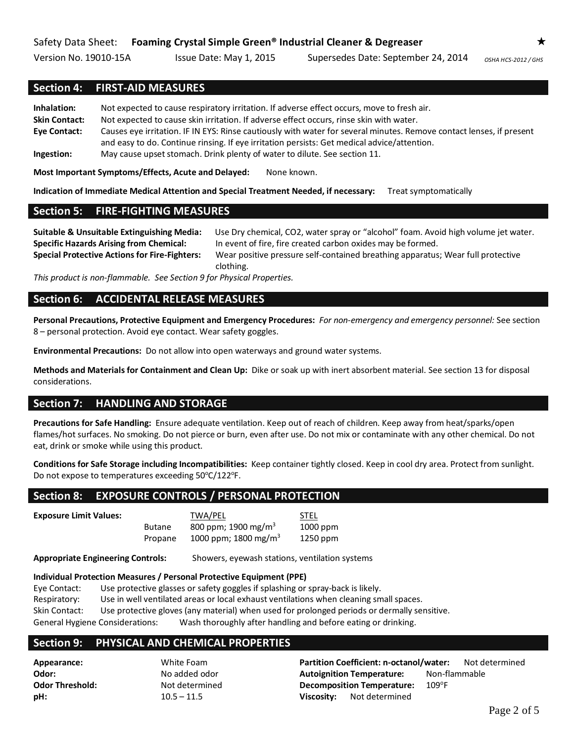# **Section 4: FIRST-AID MEASURES**

**Inhalation:** Not expected to cause respiratory irritation. If adverse effect occurs, move to fresh air. **Skin Contact:** Not expected to cause skin irritation. If adverse effect occurs, rinse skin with water. **Eye Contact:** Causes eye irritation. IF IN EYS: Rinse cautiously with water for several minutes. Remove contact lenses, if present and easy to do. Continue rinsing. If eye irritation persists: Get medical advice/attention. **Ingestion:** May cause upset stomach. Drink plenty of water to dilute. See section 11.

**Most Important Symptoms/Effects, Acute and Delayed:** None known.

**Indication of Immediate Medical Attention and Special Treatment Needed, if necessary:** Treat symptomatically

# **Section 5: FIRE-FIGHTING MEASURES**

**Suitable & Unsuitable Extinguishing Media:** Use Dry chemical, CO2, water spray or "alcohol" foam. Avoid high volume jet water. **Specific Hazards Arising from Chemical:** In event of fire, fire created carbon oxides may be formed. **Special Protective Actions for Fire-Fighters:** Wear positive pressure self-contained breathing apparatus; Wear full protective

clothing.

*This product is non-flammable. See Section 9 for Physical Properties.*

# **Section 6: ACCIDENTAL RELEASE MEASURES**

**Personal Precautions, Protective Equipment and Emergency Procedures:** *For non-emergency and emergency personnel:* See section 8 – personal protection. Avoid eye contact. Wear safety goggles.

**Environmental Precautions:** Do not allow into open waterways and ground water systems.

**Methods and Materials for Containment and Clean Up:** Dike or soak up with inert absorbent material. See section 13 for disposal considerations.

# **Section 7: HANDLING AND STORAGE**

**Precautions for Safe Handling:** Ensure adequate ventilation. Keep out of reach of children. Keep away from heat/sparks/open flames/hot surfaces. No smoking. Do not pierce or burn, even after use. Do not mix or contaminate with any other chemical. Do not eat, drink or smoke while using this product.

**Conditions for Safe Storage including Incompatibilities:** Keep container tightly closed. Keep in cool dry area. Protect from sunlight. Do not expose to temperatures exceeding 50°C/122°F.

# **Section 8: EXPOSURE CONTROLS / PERSONAL PROTECTION**

**Exposure Limit Values:** TWA/PEL STEL

Butane 800 ppm; 1900 mg/m<sup>3</sup> 1000 ppm

Propane  $1000$  ppm; 1800 mg/m<sup>3</sup> 1250 ppm

**Appropriate Engineering Controls:** Showers, eyewash stations, ventilation systems

#### **Individual Protection Measures / Personal Protective Equipment (PPE)**

Eye Contact: Use protective glasses or safety goggles if splashing or spray-back is likely. Respiratory: Use in well ventilated areas or local exhaust ventilations when cleaning small spaces. Skin Contact: Use protective gloves (any material) when used for prolonged periods or dermally sensitive. General Hygiene Considerations: Wash thoroughly after handling and before eating or drinking.

#### **Section 9: PHYSICAL AND CHEMICAL PROPERTIES**

**Appearance:** White Foam **Partition Coefficient: n-octanol/water:** Not determined **Odor: No added odor <b>Autoignition Temperature:** Non-flammable **Odor Threshold:** Not determined **Decomposition Temperature:** 109°F **pH:** 10.5 – 11.5 **Viscosity:** Not determined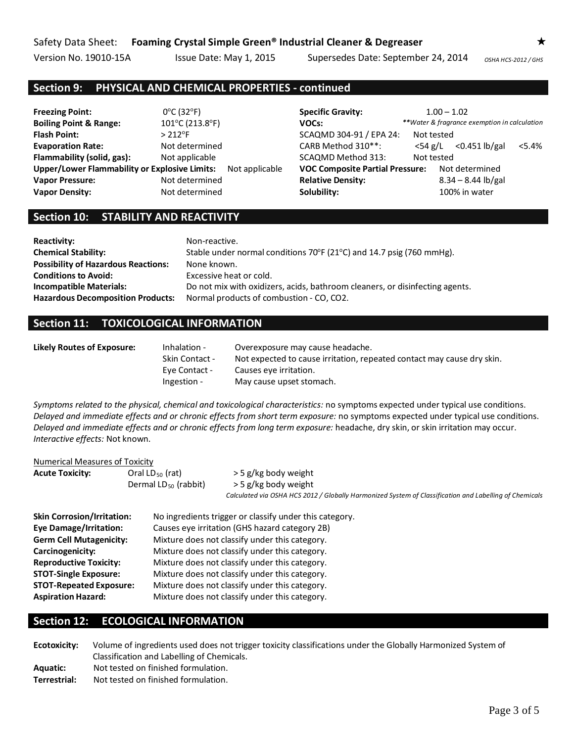# **Section 9: PHYSICAL AND CHEMICAL PROPERTIES - continued**

**Freezing Point:** 0<sup>o</sup>C (32<sup>o</sup>F) **Specific Gravity:** 1.00 – 1.02 Boiling Point & Range: 101°C (213.8°F) **VOCs:** \*\**Water & fragrance exemption in calculation* **Flash Point:**  $> 212^{\circ}F$  > 212<sup>°</sup> > 212<sup>°</sup> > 304<sup>°</sup> SCAQMD 304-91 / EPA 24: Not tested **Evaporation Rate:** Not determined CARB Method 310<sup>\*\*</sup>: <54 g/L <0.451 lb/gal <5.4% **Flammability (solid, gas):** Not applicable SCAQMD Method 313: Not tested **Upper/Lower Flammability or Explosive Limits:** Not applicable **VOC Composite Partial Pressure:** Not determined **Vapor Pressure:** Not determined **Relative Density:** 8.34 – 8.44 lb/gal **Vapor Density:** Not determined **Solubility:** 100% in water

# **Section 10: STABILITY AND REACTIVITY**

| <b>Reactivity:</b>                         | Non-reactive.                                                                       |
|--------------------------------------------|-------------------------------------------------------------------------------------|
| <b>Chemical Stability:</b>                 | Stable under normal conditions $70^{\circ}F(21^{\circ}C)$ and 14.7 psig (760 mmHg). |
| <b>Possibility of Hazardous Reactions:</b> | None known.                                                                         |
| <b>Conditions to Avoid:</b>                | Excessive heat or cold.                                                             |
| <b>Incompatible Materials:</b>             | Do not mix with oxidizers, acids, bathroom cleaners, or disinfecting agents.        |
| <b>Hazardous Decomposition Products:</b>   | Normal products of combustion - CO, CO2.                                            |

# **Section 11: TOXICOLOGICAL INFORMATION**

| Likely Routes of Exposure: | Inhalation -          | Overexposure may cause headache.                                       |
|----------------------------|-----------------------|------------------------------------------------------------------------|
|                            | <b>Skin Contact -</b> | Not expected to cause irritation, repeated contact may cause dry skin. |
|                            | Eye Contact -         | Causes eve irritation.                                                 |
|                            | Ingestion -           | May cause upset stomach.                                               |

*Symptoms related to the physical, chemical and toxicological characteristics:* no symptoms expected under typical use conditions. *Delayed and immediate effects and or chronic effects from short term exposure:* no symptoms expected under typical use conditions. *Delayed and immediate effects and or chronic effects from long term exposure:* headache, dry skin, or skin irritation may occur. *Interactive effects:* Not known.

#### Numerical Measures of Toxicity

| <b>Acute Toxicity:</b> | Oral $LD_{50}$ (rat)      | > 5 g/kg body weight                                                                                   |
|------------------------|---------------------------|--------------------------------------------------------------------------------------------------------|
|                        | Dermal $LD_{50}$ (rabbit) | > 5 g/kg body weight                                                                                   |
|                        |                           | Calculated via OSHA HCS 2012 / Globally Harmonized System of Classification and Labelling of Chemicals |

| <b>Skin Corrosion/Irritation:</b> | No ingredients trigger or classify under this category. |
|-----------------------------------|---------------------------------------------------------|
| <b>Eye Damage/Irritation:</b>     | Causes eye irritation (GHS hazard category 2B)          |
| <b>Germ Cell Mutagenicity:</b>    | Mixture does not classify under this category.          |
| Carcinogenicity:                  | Mixture does not classify under this category.          |
| <b>Reproductive Toxicity:</b>     | Mixture does not classify under this category.          |
| <b>STOT-Single Exposure:</b>      | Mixture does not classify under this category.          |
| <b>STOT-Repeated Exposure:</b>    | Mixture does not classify under this category.          |
| <b>Aspiration Hazard:</b>         | Mixture does not classify under this category.          |

## **Section 12: ECOLOGICAL INFORMATION**

**Ecotoxicity:** Volume of ingredients used does not trigger toxicity classifications under the Globally Harmonized System of Classification and Labelling of Chemicals. **Aquatic:** Not tested on finished formulation. **Terrestrial:** Not tested on finished formulation.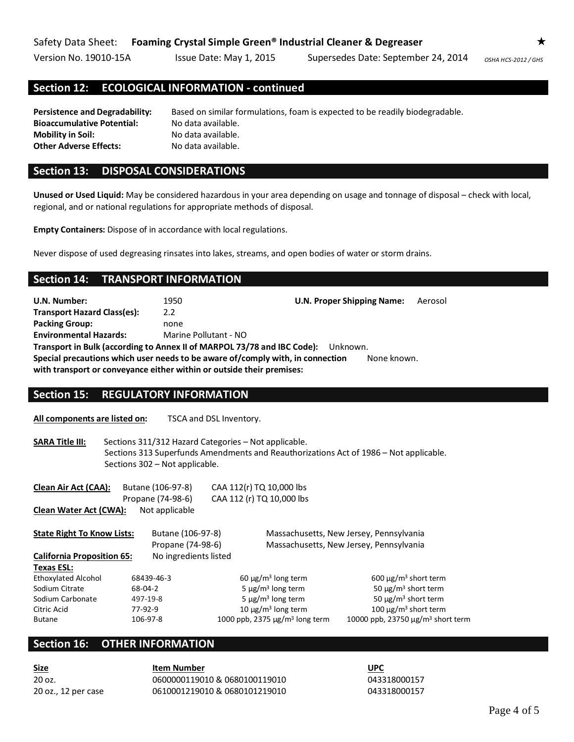## **Section 12: ECOLOGICAL INFORMATION - continued**

**Persistence and Degradability:** Based on similar formulations, foam is expected to be readily biodegradable. **Bioaccumulative Potential:** No data available. **Mobility in Soil:** No data available. **Other Adverse Effects:** No data available.

#### **Section 13: DISPOSAL CONSIDERATIONS**

**Unused or Used Liquid:** May be considered hazardous in your area depending on usage and tonnage of disposal – check with local, regional, and or national regulations for appropriate methods of disposal.

**Empty Containers:** Dispose of in accordance with local regulations.

Never dispose of used degreasing rinsates into lakes, streams, and open bodies of water or storm drains.

#### **Section 14: TRANSPORT INFORMATION**

**U.N. Number:** 1950 **U.N. Proper Shipping Name:** Aerosol **Transport Hazard Class(es):** 2.2 **Packing Group:** none **Environmental Hazards:** Marine Pollutant - NO **Transport in Bulk (according to Annex II of MARPOL 73/78 and IBC Code):** Unknown. **Special precautions which user needs to be aware of/comply with, in connection with transport or conveyance either within or outside their premises:** None known.

#### **Section 15: REGULATORY INFORMATION**

**All components are listed on:** TSCA and DSL Inventory.

**SARA Title III:** Sections 311/312 Hazard Categories – Not applicable. Sections 313 Superfunds Amendments and Reauthorizations Act of 1986 – Not applicable. Sections 302 – Not applicable.

| Clean Air Act (CAA):              | Butane (106-97-8)<br>Propane (74-98-6) | CAA 112(r) TQ 10,000 lbs<br>CAA 112 (r) TQ 10,000 lbs |                                                    |
|-----------------------------------|----------------------------------------|-------------------------------------------------------|----------------------------------------------------|
| Clean Water Act (CWA):            | Not applicable                         |                                                       |                                                    |
| <b>State Right To Know Lists:</b> | Butane (106-97-8)                      |                                                       | Massachusetts, New Jersey, Pennsylvania            |
|                                   | Propane (74-98-6)                      |                                                       | Massachusetts, New Jersey, Pennsylvania            |
| <b>California Proposition 65:</b> | No ingredients listed                  |                                                       |                                                    |
| Texas ESL:                        |                                        |                                                       |                                                    |
| <b>Ethoxylated Alcohol</b>        | 68439-46-3                             | $60 \mu g/m3$ long term                               | $600 \mu g/m3$ short term                          |
| Sodium Citrate                    | 68-04-2                                | 5 $\mu$ g/m <sup>3</sup> long term                    | 50 $\mu$ g/m <sup>3</sup> short term               |
| Sodium Carbonate                  | 497-19-8                               | 5 $\mu$ g/m <sup>3</sup> long term                    | 50 $\mu$ g/m <sup>3</sup> short term               |
| Citric Acid                       | 77-92-9                                | 10 $\mu$ g/m <sup>3</sup> long term                   | 100 $\mu$ g/m <sup>3</sup> short term              |
| <b>Butane</b>                     | 106-97-8                               | 1000 ppb, 2375 $\mu$ g/m <sup>3</sup> long term       | 10000 ppb, 23750 $\mu$ g/m <sup>3</sup> short term |

# **Section 16: OTHER INFORMATION**

**Size Item Number UPC**

20 oz. 0600000119010 & 0680100119010 043318000157 20 oz., 12 per case 0610001219010 & 0680101219010 043318000157